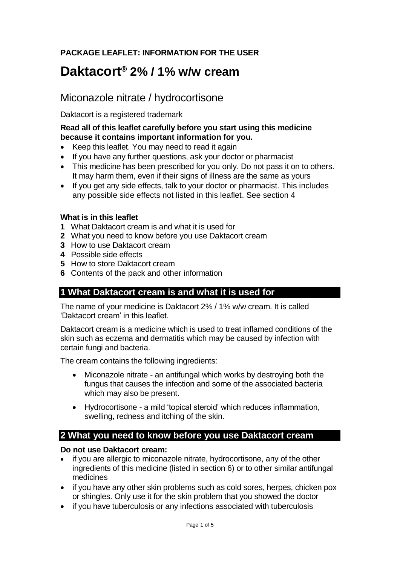## **PACKAGE LEAFLET: INFORMATION FOR THE USER**

# **Daktacort® 2% / 1% w/w cream**

## Miconazole nitrate / hydrocortisone

Daktacort is a registered trademark

#### **Read all of this leaflet carefully before you start using this medicine because it contains important information for you.**

- Keep this leaflet. You may need to read it again
- If you have any further questions, ask your doctor or pharmacist
- This medicine has been prescribed for you only. Do not pass it on to others. It may harm them, even if their signs of illness are the same as yours
- If you get any side effects, talk to your doctor or pharmacist. This includes any possible side effects not listed in this leaflet. See section 4

#### **What is in this leaflet**

- **1** What Daktacort cream is and what it is used for
- **2** What you need to know before you use Daktacort cream
- **3** How to use Daktacort cream
- **4** Possible side effects
- **5** How to store Daktacort cream
- **6** Contents of the pack and other information

## **1 What Daktacort cream is and what it is used for**

The name of your medicine is Daktacort 2% / 1% w/w cream. It is called 'Daktacort cream' in this leaflet.

Daktacort cream is a medicine which is used to treat inflamed conditions of the skin such as eczema and dermatitis which may be caused by infection with certain fungi and bacteria.

The cream contains the following ingredients:

- Miconazole nitrate an antifungal which works by destroying both the fungus that causes the infection and some of the associated bacteria which may also be present.
- Hydrocortisone a mild 'topical steroid' which reduces inflammation, swelling, redness and itching of the skin.

## **2 What you need to know before you use Daktacort cream**

#### **Do not use Daktacort cream:**

- if you are allergic to miconazole nitrate, hydrocortisone, any of the other ingredients of this medicine (listed in section 6) or to other similar antifungal medicines
- if you have any other skin problems such as cold sores, herpes, chicken pox or shingles. Only use it for the skin problem that you showed the doctor
- if you have tuberculosis or any infections associated with tuberculosis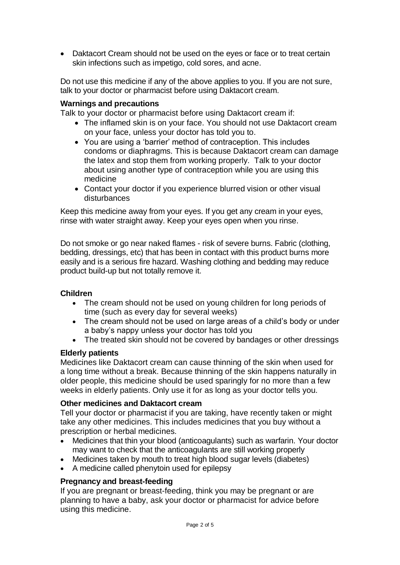• Daktacort Cream should not be used on the eyes or face or to treat certain skin infections such as impetigo, cold sores, and acne.

Do not use this medicine if any of the above applies to you. If you are not sure, talk to your doctor or pharmacist before using Daktacort cream.

#### **Warnings and precautions**

Talk to your doctor or pharmacist before using Daktacort cream if:

- The inflamed skin is on your face. You should not use Daktacort cream on your face, unless your doctor has told you to.
- You are using a 'barrier' method of contraception. This includes condoms or diaphragms. This is because Daktacort cream can damage the latex and stop them from working properly. Talk to your doctor about using another type of contraception while you are using this medicine
- Contact your doctor if you experience blurred vision or other visual disturbances

Keep this medicine away from your eyes. If you get any cream in your eyes, rinse with water straight away. Keep your eyes open when you rinse.

Do not smoke or go near naked flames - risk of severe burns. Fabric (clothing, bedding, dressings, etc) that has been in contact with this product burns more easily and is a serious fire hazard. Washing clothing and bedding may reduce product build-up but not totally remove it.

#### **Children**

- The cream should not be used on young children for long periods of time (such as every day for several weeks)
- The cream should not be used on large areas of a child's body or under a baby's nappy unless your doctor has told you
- The treated skin should not be covered by bandages or other dressings

#### **Elderly patients**

Medicines like Daktacort cream can cause thinning of the skin when used for a long time without a break. Because thinning of the skin happens naturally in older people, this medicine should be used sparingly for no more than a few weeks in elderly patients. Only use it for as long as your doctor tells you.

#### **Other medicines and Daktacort cream**

Tell your doctor or pharmacist if you are taking, have recently taken or might take any other medicines. This includes medicines that you buy without a prescription or herbal medicines.

- Medicines that thin your blood (anticoagulants) such as warfarin. Your doctor may want to check that the anticoagulants are still working properly
- Medicines taken by mouth to treat high blood sugar levels (diabetes)
- A medicine called phenytoin used for epilepsy

#### **Pregnancy and breast-feeding**

If you are pregnant or breast-feeding, think you may be pregnant or are planning to have a baby, ask your doctor or pharmacist for advice before using this medicine.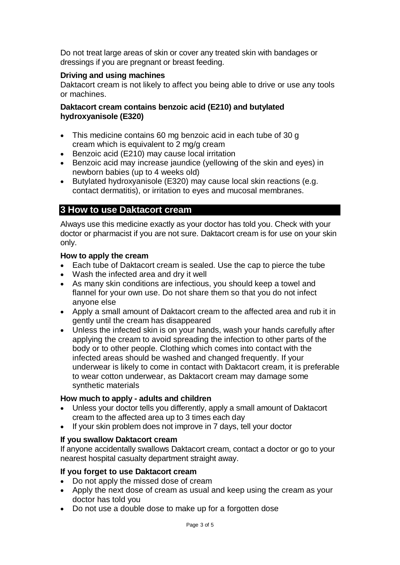Do not treat large areas of skin or cover any treated skin with bandages or dressings if you are pregnant or breast feeding.

#### **Driving and using machines**

Daktacort cream is not likely to affect you being able to drive or use any tools or machines.

#### **Daktacort cream contains benzoic acid (E210) and butylated hydroxyanisole (E320)**

- This medicine contains 60 mg benzoic acid in each tube of 30 g cream which is equivalent to 2 mg/g cream
- Benzoic acid (E210) may cause local irritation
- Benzoic acid may increase jaundice (yellowing of the skin and eyes) in newborn babies (up to 4 weeks old)
- Butylated hydroxyanisole (E320) may cause local skin reactions (e.g. contact dermatitis), or irritation to eyes and mucosal membranes.

## **3 How to use Daktacort cream**

Always use this medicine exactly as your doctor has told you. Check with your doctor or pharmacist if you are not sure. Daktacort cream is for use on your skin only.

#### **How to apply the cream**

- Each tube of Daktacort cream is sealed. Use the cap to pierce the tube
- Wash the infected area and dry it well
- As many skin conditions are infectious, you should keep a towel and flannel for your own use. Do not share them so that you do not infect anyone else
- Apply a small amount of Daktacort cream to the affected area and rub it in gently until the cream has disappeared
- Unless the infected skin is on your hands, wash your hands carefully after applying the cream to avoid spreading the infection to other parts of the body or to other people. Clothing which comes into contact with the infected areas should be washed and changed frequently. If your underwear is likely to come in contact with Daktacort cream, it is preferable to wear cotton underwear, as Daktacort cream may damage some synthetic materials

#### **How much to apply - adults and children**

- Unless your doctor tells you differently, apply a small amount of Daktacort cream to the affected area up to 3 times each day
- If your skin problem does not improve in 7 days, tell your doctor

#### **If you swallow Daktacort cream**

If anyone accidentally swallows Daktacort cream, contact a doctor or go to your nearest hospital casualty department straight away.

#### **If you forget to use Daktacort cream**

- Do not apply the missed dose of cream
- Apply the next dose of cream as usual and keep using the cream as your doctor has told you
- Do not use a double dose to make up for a forgotten dose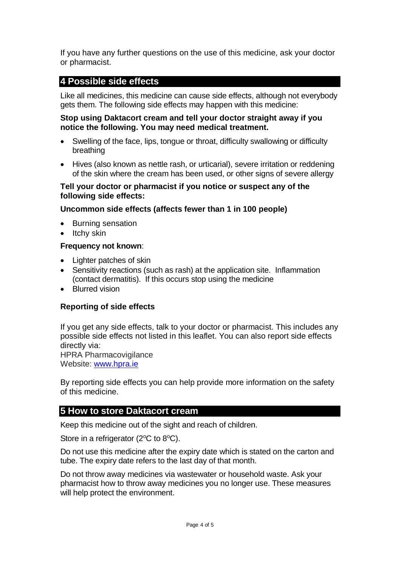If you have any further questions on the use of this medicine, ask your doctor or pharmacist.

## **4 Possible side effects**

Like all medicines, this medicine can cause side effects, although not everybody gets them. The following side effects may happen with this medicine:

#### **Stop using Daktacort cream and tell your doctor straight away if you notice the following. You may need medical treatment.**

- Swelling of the face, lips, tongue or throat, difficulty swallowing or difficulty breathing
- Hives (also known as nettle rash, or urticarial), severe irritation or reddening of the skin where the cream has been used, or other signs of severe allergy

#### **Tell your doctor or pharmacist if you notice or suspect any of the following side effects:**

## **Uncommon side effects (affects fewer than 1 in 100 people)**

- Burning sensation
- $\bullet$  Itchy skin

#### **Frequency not known**:

- Lighter patches of skin
- Sensitivity reactions (such as rash) at the application site. Inflammation (contact dermatitis). If this occurs stop using the medicine
- Blurred vision

#### **Reporting of side effects**

If you get any side effects, talk to your doctor or pharmacist. This includes any possible side effects not listed in this leaflet. You can also report side effects directly via:

HPRA Pharmacovigilance Website: [www.hpra.ie](http://www.hpra.ie/)

By reporting side effects you can help provide more information on the safety of this medicine.

## **5 How to store Daktacort cream**

Keep this medicine out of the sight and reach of children.

Store in a refrigerator ( $2^{\circ}$ C to  $8^{\circ}$ C).

Do not use this medicine after the expiry date which is stated on the carton and tube. The expiry date refers to the last day of that month.

Do not throw away medicines via wastewater or household waste. Ask your pharmacist how to throw away medicines you no longer use. These measures will help protect the environment.